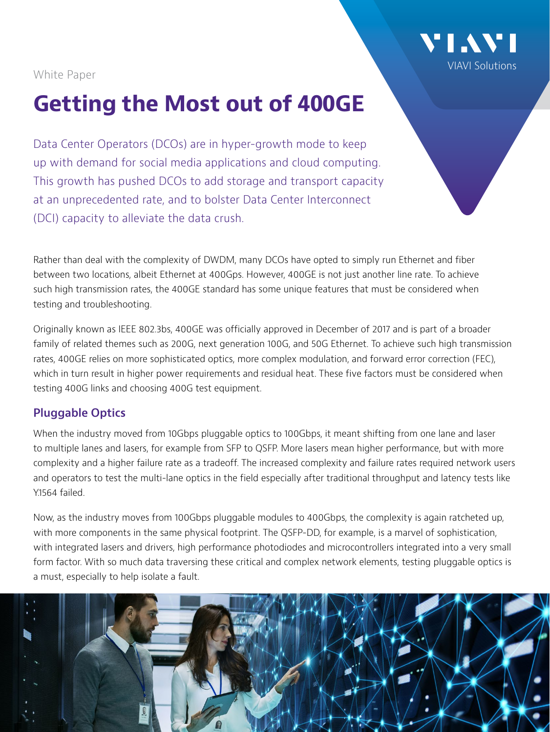

#### White Paper

# **Getting the Most out of 400GE**

Data Center Operators (DCOs) are in hyper-growth mode to keep up with demand for social media applications and cloud computing. This growth has pushed DCOs to add storage and transport capacity at an unprecedented rate, and to bolster Data Center Interconnect (DCI) capacity to alleviate the data crush.

Rather than deal with the complexity of DWDM, many DCOs have opted to simply run Ethernet and fiber between two locations, albeit Ethernet at 400Gps. However, 400GE is not just another line rate. To achieve such high transmission rates, the 400GE standard has some unique features that must be considered when testing and troubleshooting.

Originally known as IEEE 802.3bs, 400GE was officially approved in December of 2017 and is part of a broader family of related themes such as 200G, next generation 100G, and 50G Ethernet. To achieve such high transmission rates, 400GE relies on more sophisticated optics, more complex modulation, and forward error correction (FEC), which in turn result in higher power requirements and residual heat. These five factors must be considered when testing 400G links and choosing 400G test equipment.

# **Pluggable Optics**

When the industry moved from 10Gbps pluggable optics to 100Gbps, it meant shifting from one lane and laser to multiple lanes and lasers, for example from SFP to QSFP. More lasers mean higher performance, but with more complexity and a higher failure rate as a tradeoff. The increased complexity and failure rates required network users and operators to test the multi-lane optics in the field especially after traditional throughput and latency tests like Y.1564 failed.

Now, as the industry moves from 100Gbps pluggable modules to 400Gbps, the complexity is again ratcheted up, with more components in the same physical footprint. The QSFP-DD, for example, is a marvel of sophistication, with integrated lasers and drivers, high performance photodiodes and microcontrollers integrated into a very small form factor. With so much data traversing these critical and complex network elements, testing pluggable optics is a must, especially to help isolate a fault.

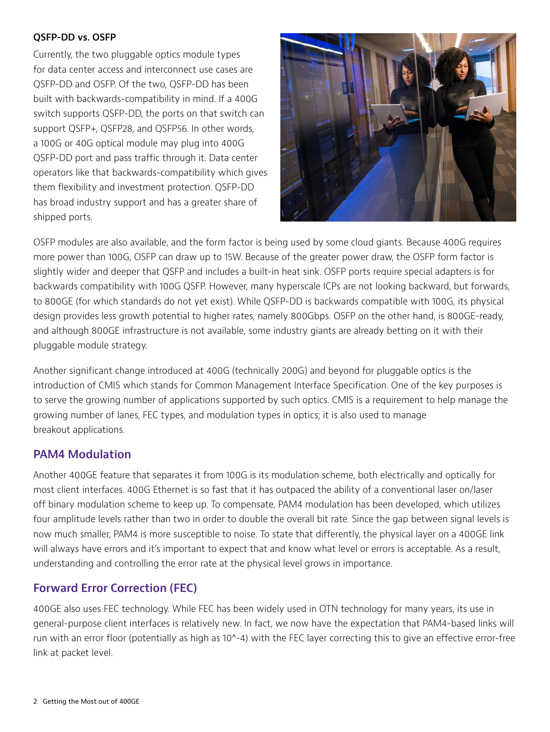#### **QSFP-DD vs. OSFP**

Currently, the two pluggable optics module types for data center access and interconnect use cases are QSFP-DD and OSFP. Of the two, QSFP-DD has been built with backwards-compatibility in mind. If a 400G switch supports QSFP-DD, the ports on that switch can support QSFP+, QSFP28, and QSFP56. In other words, a 100G or 40G optical module may plug into 400G QSFP-DD port and pass traffic through it. Data center operators like that backwards-compatibility which gives them flexibility and investment protection. QSFP-DD has broad industry support and has a greater share of shipped ports.



OSFP modules are also available, and the form factor is being used by some cloud giants. Because 400G requires more power than 100G, OSFP can draw up to 15W. Because of the greater power draw, the OSFP form factor is slightly wider and deeper that QSFP and includes a built-in heat sink. OSFP ports require special adapters is for backwards compatibility with 100G QSFP. However, many hyperscale ICPs are not looking backward, but forwards, to 800GE (for which standards do not yet exist). While QSFP-DD is backwards compatible with 100G, its physical design provides less growth potential to higher rates, namely 800Gbps. OSFP on the other hand, is 800GE-ready, and although 800GE infrastructure is not available, some industry giants are already betting on it with their pluggable module strategy.

Another significant change introduced at 400G (technically 200G) and beyond for pluggable optics is the introduction of CMIS which stands for Common Management Interface Specification. One of the key purposes is to serve the growing number of applications supported by such optics. CMIS is a requirement to help manage the growing number of lanes, FEC types, and modulation types in optics; it is also used to manage breakout applications.

# **PAM4 Modulation**

Another 400GE feature that separates it from 100G is its modulation scheme, both electrically and optically for most client interfaces. 400G Ethernet is so fast that it has outpaced the ability of a conventional laser on/laser off binary modulation scheme to keep up. To compensate, [PAM4](https://www.edn.com/design/systems-design/4441212/The-fundamentals-of-PAM4?utm_source=AspenCore&utm_medium=EETIMES) modulation has been developed, which utilizes four amplitude levels rather than two in order to double the overall bit rate. Since the gap between signal levels is now much smaller, PAM4 is more susceptible to noise. To state that differently, the physical layer on a 400GE link will always have errors and it's important to expect that and know what level or errors is acceptable. As a result, understanding and controlling the error rate at the physical level grows in importance.

# **Forward Error Correction (FEC)**

400GE also uses FEC technology. While FEC has been widely used in OTN technology for many years, its use in general-purpose client interfaces is relatively new. In fact, we now have the expectation that PAM4-based links will run with an error floor (potentially as high as 10^-4) with the FEC layer correcting this to give an effective error-free link at packet level.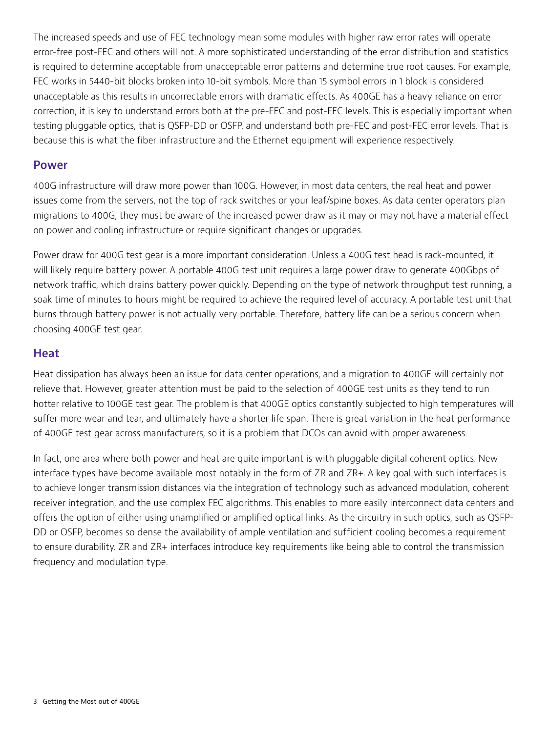The increased speeds and use of FEC technology mean some modules with higher raw error rates will operate error-free post-FEC and others will not. A more sophisticated understanding of the error distribution and statistics is required to determine acceptable from unacceptable error patterns and determine true root causes. For example, FEC works in 5440-bit blocks broken into 10-bit symbols. More than 15 symbol errors in 1 block is considered unacceptable as this results in uncorrectable errors with dramatic effects. As 400GE has a heavy reliance on error correction, it is key to understand errors both at the pre-FEC and post-FEC levels. This is especially important when testing pluggable optics, that is QSFP-DD or OSFP, and understand both pre-FEC and post-FEC error levels. That is because this is what the fiber infrastructure and the Ethernet equipment will experience respectively.

#### **Power**

400G infrastructure will draw more power than 100G. However, in most data centers, the real heat and power issues come from the servers, not the top of rack switches or your leaf/spine boxes. As data center operators plan migrations to 400G, they must be aware of the increased power draw as it may or may not have a material effect on power and cooling infrastructure or require significant changes or upgrades.

Power draw for 400G test gear is a more important consideration. Unless a 400G test head is rack-mounted, it will likely require battery power. A portable 400G test unit requires a large power draw to generate 400Gbps of network traffic, which drains battery power quickly. Depending on the type of network throughput test running, a soak time of minutes to hours might be required to achieve the required level of accuracy. A portable test unit that burns through battery power is not actually very portable. Therefore, battery life can be a serious concern when choosing 400GE test gear.

#### **Heat**

Heat dissipation has always been an issue for data center operations, and a migration to 400GE will certainly not relieve that. However, greater attention must be paid to the selection of 400GE test units as they tend to run hotter relative to 100GE test gear. The problem is that 400GE optics constantly subjected to high temperatures will suffer more wear and tear, and ultimately have a shorter life span. There is great variation in the heat performance of 400GE test gear across manufacturers, so it is a problem that DCOs can avoid with proper awareness.

In fact, one area where both power and heat are quite important is with pluggable digital coherent optics. New interface types have become available most notably in the form of ZR and ZR+. A key goal with such interfaces is to achieve longer transmission distances via the integration of technology such as advanced modulation, coherent receiver integration, and the use complex FEC algorithms. This enables to more easily interconnect data centers and offers the option of either using unamplified or amplified optical links. As the circuitry in such optics, such as QSFP-DD or OSFP, becomes so dense the availability of ample ventilation and sufficient cooling becomes a requirement to ensure durability. ZR and ZR+ interfaces introduce key requirements like being able to control the transmission frequency and modulation type.